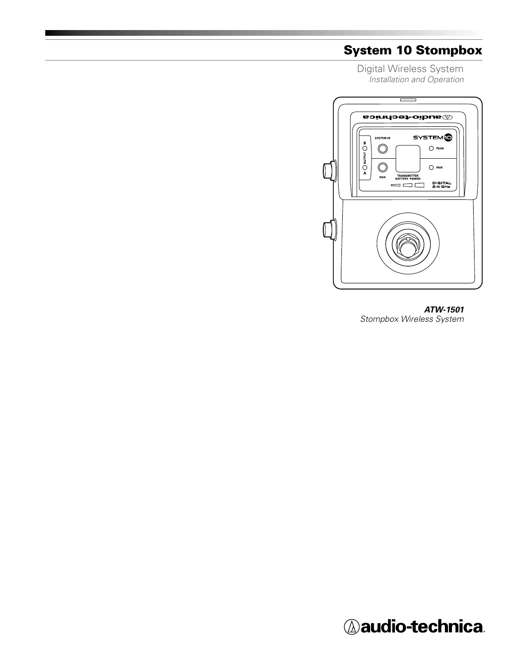# System 10 Stompbox

Digital Wireless System *Installation and Operation*



*ATW-1501 Stompbox Wireless System*

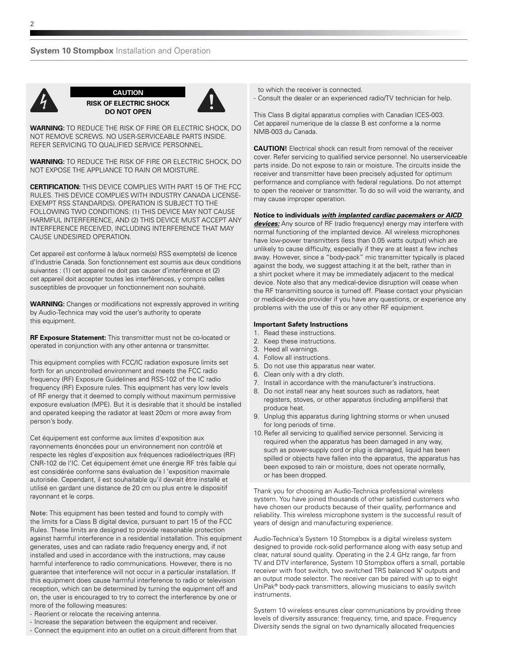

**CAUTION RISK OF ELECTRIC SHOCK DO NOT OPEN**



**WARNING:** TO REDUCE THE RISK OF FIRE OR ELECTRIC SHOCK, DO NOT REMOVE SCREWS. NO USER-SERVICEABLE PARTS INSIDE. REFER SERVICING TO QUALIFIED SERVICE PERSONNEL.

**WARNING:** TO REDUCE THE RISK OF FIRE OR ELECTRIC SHOCK, DO NOT EXPOSE THE APPLIANCE TO RAIN OR MOISTURE.

**CERTIFICATION:** THIS DEVICE COMPLIES WITH PART 15 OF THE FCC RULES. THIS DEVICE COMPLIES WITH INDUSTRY CANADA LICENSE-EXEMPT RSS STANDARD(S). OPERATION IS SUBJECT TO THE FOLLOWING TWO CONDITIONS: (1) THIS DEVICE MAY NOT CAUSE HARMFUL INTERFERENCE, AND (2) THIS DEVICE MUST ACCEPT ANY INTERFERENCE RECEIVED, INCLUDING INTERFERENCE THAT MAY CAUSE UNDESIRED OPERATION.

Cet appareil est conforme à la/aux norme(s) RSS exempte(s) de licence d'Industrie Canada. Son fonctionnement est soumis aux deux conditions suivantes : (1) cet appareil ne doit pas causer d'interférence et (2) cet appareil doit accepter toutes les interférences, y compris celles susceptibles de provoquer un fonctionnement non souhaité.

**WARNING:** Changes or modifications not expressly approved in writing by Audio-Technica may void the user's authority to operate this equipment.

**RF Exposure Statement:** This transmitter must not be co-located or operated in conjunction with any other antenna or transmitter.

This equipment complies with FCC/IC radiation exposure limits set forth for an uncontrolled environment and meets the FCC radio frequency (RF) Exposure Guidelines and RSS-102 of the IC radio frequency (RF) Exposure rules. This equipment has very low levels of RF energy that it deemed to comply without maximum permissive exposure evaluation (MPE). But it is desirable that it should be installed and operated keeping the radiator at least 20cm or more away from person's body.

Cet équipement est conforme aux limites d'exposition aux rayonnements énoncées pour un environnement non contrôlé et respecte les règles d'exposition aux fréquences radioélectriques (RF) CNR-102 de l'IC. Cet équipement émet une énergie RF très faible qui est considérée conforme sans évaluation de l 'exposition maximale autorisée. Cependant, il est souhaitable qu'il devrait être installé et utilisé en gardant une distance de 20 cm ou plus entre le dispositif rayonnant et le corps.

**Note:** This equipment has been tested and found to comply with the limits for a Class B digital device, pursuant to part 15 of the FCC Rules. These limits are designed to provide reasonable protection against harmful interference in a residential installation. This equipment generates, uses and can radiate radio frequency energy and, if not installed and used in accordance with the instructions, may cause harmful interference to radio communications. However, there is no guarantee that interference will not occur in a particular installation. If this equipment does cause harmful interference to radio or television reception, which can be determined by turning the equipment off and on, the user is encouraged to try to correct the interference by one or more of the following measures:

- Reorient or relocate the receiving antenna.
- Increase the separation between the equipment and receiver.
- Connect the equipment into an outlet on a circuit different from that

to which the receiver is connected. - Consult the dealer or an experienced radio/TV technician for help.

This Class B digital apparatus complies with Canadian ICES-003. Cet appareil numerique de la classe B est conforme a la norme NMB-003 du Canada.

**CAUTION!** Electrical shock can result from removal of the receiver cover. Refer servicing to qualified service personnel. No userserviceable parts inside. Do not expose to rain or moisture. The circuits inside the receiver and transmitter have been precisely adjusted for optimum performance and compliance with federal regulations. Do not attempt to open the receiver or transmitter. To do so will void the warranty, and may cause improper operation.

#### **Notice to individuals** *with implanted cardiac pacemakers or AICD*

*devices:* Any source of RF (radio frequency) energy may interfere with normal functioning of the implanted device. All wireless microphones have low-power transmitters (less than 0.05 watts output) which are unlikely to cause difficulty, especially if they are at least a few inches away. However, since a "body-pack" mic transmitter typically is placed against the body, we suggest attaching it at the belt, rather than in a shirt pocket where it may be immediately adjacent to the medical device. Note also that any medical-device disruption will cease when the RF transmitting source is turned off. Please contact your physician or medical-device provider if you have any questions, or experience any problems with the use of this or any other RF equipment.

#### **Important Safety Instructions**

- 1. Read these instructions.
- 2. Keep these instructions.
- 3. Heed all warnings.
- 4. Follow all instructions.
- 5. Do not use this apparatus near water.
- 6. Clean only with a dry cloth.
- 7. Install in accordance with the manufacturer's instructions.
- 8. Do not install near any heat sources such as radiators, heat registers, stoves, or other apparatus (including amplifiers) that produce heat.
- 9. Unplug this apparatus during lightning storms or when unused for long periods of time.
- 10.Refer all servicing to qualified service personnel. Servicing is required when the apparatus has been damaged in any way, such as power-supply cord or plug is damaged, liquid has been spilled or objects have fallen into the apparatus, the apparatus has been exposed to rain or moisture, does not operate normally, or has been dropped.

Thank you for choosing an Audio-Technica professional wireless system. You have joined thousands of other satisfied customers who have chosen our products because of their quality, performance and reliability. This wireless microphone system is the successful result of years of design and manufacturing experience.

Audio-Technica's System 10 Stompbox is a digital wireless system designed to provide rock-solid performance along with easy setup and clear, natural sound quality. Operating in the 2.4 GHz range, far from TV and DTV interference, System 10 Stompbox offers a small, portable receiver with foot switch, two switched TRS balanced ¼" outputs and an output mode selector. The receiver can be paired with up to eight UniPak® body-pack transmitters, allowing musicians to easily switch instruments.

System 10 wireless ensures clear communications by providing three levels of diversity assurance: frequency, time, and space. Frequency Diversity sends the signal on two dynamically allocated frequencies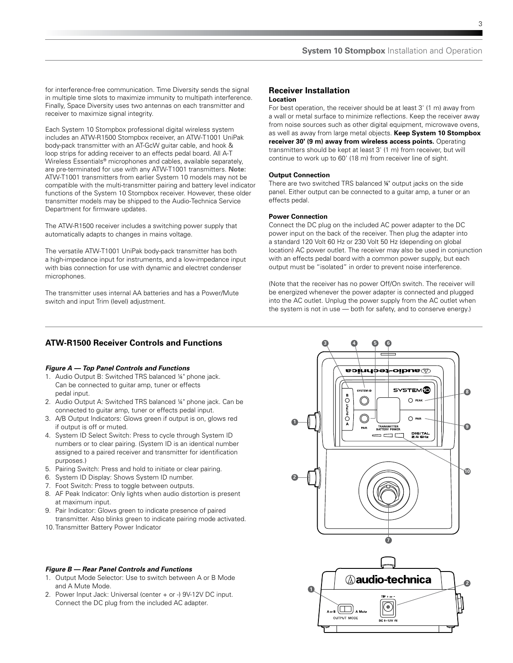for interference-free communication. Time Diversity sends the signal in multiple time slots to maximize immunity to multipath interference. Finally, Space Diversity uses two antennas on each transmitter and receiver to maximize signal integrity.

Each System 10 Stompbox professional digital wireless system includes an ATW-R1500 Stompbox receiver, an ATW-T1001 UniPak body-pack transmitter with an AT-GcW guitar cable, and hook & loop strips for adding receiver to an effects pedal board. All A-T Wireless Essentials® microphones and cables, available separately, are pre-terminated for use with any ATW-T1001 transmitters. **Note:** ATW-T1001 transmitters from earlier System 10 models may not be compatible with the multi-transmitter pairing and battery level indicator functions of the System 10 Stompbox receiver. However, these older transmitter models may be shipped to the Audio-Technica Service Department for firmware updates.

The ATW-R1500 receiver includes a switching power supply that automatically adapts to changes in mains voltage.

The versatile ATW-T1001 UniPak body-pack transmitter has both a high-impedance input for instruments, and a low-impedance input with bias connection for use with dynamic and electret condenser microphones.

The transmitter uses internal AA batteries and has a Power/Mute switch and input Trim (level) adjustment.

### **Receiver Installation Location**

For best operation, the receiver should be at least 3' (1 m) away from a wall or metal surface to minimize reflections. Keep the receiver away from noise sources such as other digital equipment, microwave ovens, as well as away from large metal objects. **Keep System 10 Stompbox receiver 30' (9 m) away from wireless access points.** Operating transmitters should be kept at least 3' (1 m) from receiver, but will continue to work up to 60' (18 m) from receiver line of sight.

### **Output Connection**

There are two switched TRS balanced ¼" output jacks on the side panel. Either output can be connected to a guitar amp, a tuner or an effects pedal.

### **Power Connection**

Connect the DC plug on the included AC power adapter to the DC power input on the back of the receiver. Then plug the adapter into a standard 120 Volt 60 Hz or 230 Volt 50 Hz (depending on global location) AC power outlet. The receiver may also be used in conjunction with an effects pedal board with a common power supply, but each output must be "isolated" in order to prevent noise interference.

(Note that the receiver has no power Off/On switch. The receiver will be energized whenever the power adapter is connected and plugged into the AC outlet. Unplug the power supply from the AC outlet when the system is not in use — both for safety, and to conserve energy.)

# **ATW-R1500 Receiver Controls and Functions**

#### *Figure A — Top Panel Controls and Functions*

- 1. Audio Output B: Switched TRS balanced ¼" phone jack. Can be connected to guitar amp, tuner or effects pedal input.
- 2. Audio Output A: Switched TRS balanced ¼" phone jack. Can be connected to guitar amp, tuner or effects pedal input.
- 3. A/B Output Indicators: Glows green if output is on, glows red if output is off or muted.
- 4. System ID Select Switch: Press to cycle through System ID numbers or to clear pairing. (System ID is an identical number assigned to a paired receiver and transmitter for identification purposes.)
- 5. Pairing Switch: Press and hold to initiate or clear pairing.
- 6. System ID Display: Shows System ID number.
- 7. Foot Switch: Press to toggle between outputs.
- 8. AF Peak Indicator: Only lights when audio distortion is present at maximum input.
- 9. Pair Indicator: Glows green to indicate presence of paired transmitter. Also blinks green to indicate pairing mode activated.
- 10.Transmitter Battery Power Indicator

### *Figure B — Rear Panel Controls and Functions*

- 1. Output Mode Selector: Use to switch between A or B Mode and A Mute Mode.
- 2. Power Input Jack: Universal (center + or -) 9V-12V DC input. Connect the DC plug from the included AC adapter.



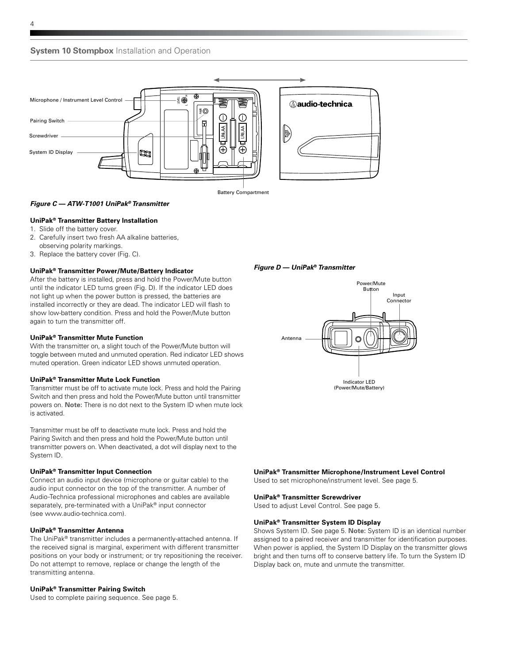



### **UniPak® Transmitter Battery Installation**

- 1. Slide off the battery cover.
- 2. Carefully insert two fresh AA alkaline batteries, observing polarity markings.
- 3. Replace the battery cover (Fig. C).

#### **UniPak® Transmitter Power/Mute/Battery Indicator**

After the battery is installed, press and hold the Power/Mute button until the indicator LED turns green (Fig. D). If the indicator LED does not light up when the power button is pressed, the batteries are installed incorrectly or they are dead. The indicator LED will flash to show low-battery condition. Press and hold the Power/Mute button again to turn the transmitter off.

#### **UniPak® Transmitter Mute Function**

With the transmitter on, a slight touch of the Power/Mute button will toggle between muted and unmuted operation. Red indicator LED shows muted operation. Green indicator LED shows unmuted operation.

#### **UniPak® Transmitter Mute Lock Function**

Transmitter must be off to activate mute lock. Press and hold the Pairing Switch and then press and hold the Power/Mute button until transmitter powers on. **Note:** There is no dot next to the System ID when mute lock is activated.

Transmitter must be off to deactivate mute lock. Press and hold the Pairing Switch and then press and hold the Power/Mute button until transmitter powers on. When deactivated, a dot will display next to the System ID.

### **UniPak® Transmitter Input Connection**

Connect an audio input device (microphone or guitar cable) to the audio input connector on the top of the transmitter. A number of Audio-Technica professional microphones and cables are available separately, pre-terminated with a UniPak® input connector (see www.audio-technica.com).

### **UniPak® Transmitter Antenna**

The UniPak® transmitter includes a permanently-attached antenna. If the received signal is marginal, experiment with different transmitter positions on your body or instrument; or try repositioning the receiver. Do not attempt to remove, replace or change the length of the transmitting antenna.

#### **UniPak® Transmitter Pairing Switch**

Used to complete pairing sequence. See page 5.

*Figure D — UniPak***®** *Transmitter*



### **UniPak® Transmitter Microphone/Instrument Level Control**

Used to set microphone/instrument level. See page 5.

#### **UniPak® Transmitter Screwdriver**

Used to adjust Level Control. See page 5.

#### **UniPak® Transmitter System ID Display**

Shows System ID. See page 5. **Note:** System ID is an identical number assigned to a paired receiver and transmitter for identification purposes. When power is applied, the System ID Display on the transmitter glows bright and then turns off to conserve battery life. To turn the System ID Display back on, mute and unmute the transmitter.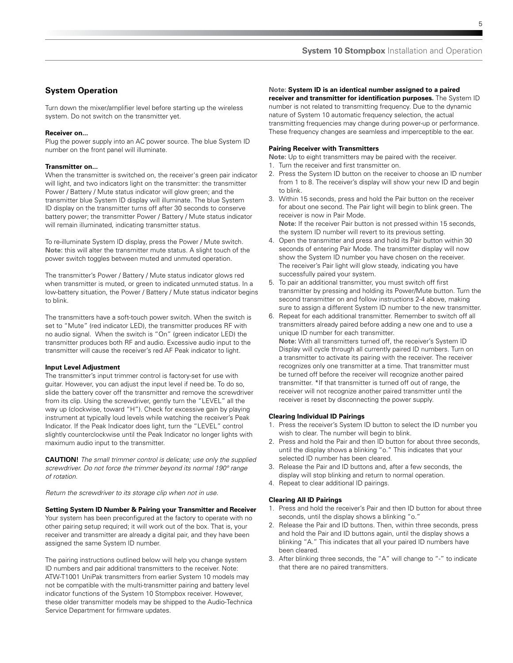# **System Operation**

Turn down the mixer/amplifier level before starting up the wireless system. Do not switch on the transmitter yet.

### **Receiver on...**

Plug the power supply into an AC power source. The blue System ID number on the front panel will illuminate.

### **Transmitter on...**

When the transmitter is switched on, the receiver's green pair indicator will light, and two indicators light on the transmitter: the transmitter Power / Battery / Mute status indicator will glow green; and the transmitter blue System ID display will illuminate. The blue System ID display on the transmitter turns off after 30 seconds to conserve battery power; the transmitter Power / Battery / Mute status indicator will remain illuminated, indicating transmitter status.

To re-illuminate System ID display, press the Power / Mute switch. **Note:** this will alter the transmitter mute status. A slight touch of the power switch toggles between muted and unmuted operation.

The transmitter's Power / Battery / Mute status indicator glows red when transmitter is muted, or green to indicated unmuted status. In a low-battery situation, the Power / Battery / Mute status indicator begins to blink.

The transmitters have a soft-touch power switch. When the switch is set to "Mute" (red indicator LED), the transmitter produces RF with no audio signal. When the switch is "On" (green indicator LED) the transmitter produces both RF and audio. Excessive audio input to the transmitter will cause the receiver's red AF Peak indicator to light.

### **Input Level Adjustment**

The transmitter's input trimmer control is factory-set for use with guitar. However, you can adjust the input level if need be. To do so, slide the battery cover off the transmitter and remove the screwdriver from its clip. Using the screwdriver, gently turn the "LEVEL" all the way up (clockwise, toward "H"). Check for excessive gain by playing instrument at typically loud levels while watching the receiver's Peak Indicator. If the Peak Indicator does light, turn the "LEVEL" control slightly counterclockwise until the Peak Indicator no longer lights with maximum audio input to the transmitter.

**CAUTION!** *The small trimmer control is delicate; use only the supplied screwdriver. Do not force the trimmer beyond its normal 190° range of rotation.*

*Return the screwdriver to its storage clip when not in use.*

**Setting System ID Number & Pairing your Transmitter and Receiver**  Your system has been preconfigured at the factory to operate with no other pairing setup required; it will work out of the box. That is, your receiver and transmitter are already a digital pair, and they have been assigned the same System ID number.

The pairing instructions outlined below will help you change system ID numbers and pair additional transmitters to the receiver. Note: ATW-T1001 UniPak transmitters from earlier System 10 models may not be compatible with the multi-transmitter pairing and battery level indicator functions of the System 10 Stompbox receiver. However, these older transmitter models may be shipped to the Audio-Technica Service Department for firmware updates.

### **Note: System ID is an identical number assigned to a paired**

**receiver and transmitter for identification purposes.** The System ID number is not related to transmitting frequency. Due to the dynamic nature of System 10 automatic frequency selection, the actual transmitting frequencies may change during power-up or performance. These frequency changes are seamless and imperceptible to the ear.

### **Pairing Receiver with Transmitters**

**Note:** Up to eight transmitters may be paired with the receiver.

- 1. Turn the receiver and first transmitter on.
- 2. Press the System ID button on the receiver to choose an ID number from 1 to 8. The receiver's display will show your new ID and begin to blink.
- 3. Within 15 seconds, press and hold the Pair button on the receiver for about one second. The Pair light will begin to blink green. The receiver is now in Pair Mode. **Note:** If the receiver Pair button is not pressed within 15 seconds, the system ID number will revert to its previous setting.
- 4. Open the transmitter and press and hold its Pair button within 30 seconds of entering Pair Mode. The transmitter display will now show the System ID number you have chosen on the receiver. The receiver's Pair light will glow steady, indicating you have successfully paired your system.
- 5. To pair an additional transmitter, you must switch off first transmitter by pressing and holding its Power/Mute button. Turn the second transmitter on and follow instructions 2-4 above, making sure to assign a different System ID number to the new transmitter.
- 6. Repeat for each additional transmitter. Remember to switch off all transmitters already paired before adding a new one and to use a unique ID number for each transmitter. **Note:** With all transmitters turned off, the receiver's System ID Display will cycle through all currently paired ID numbers. Turn on a transmitter to activate its pairing with the receiver. The receiver recognizes only one transmitter at a time. That transmitter must be turned off before the receiver will recognize another paired

transmitter. \*If that transmitter is turned off out of range, the receiver will not recognize another paired transmitter until the receiver is reset by disconnecting the power supply.

#### **Clearing Individual ID Pairings**

- 1. Press the receiver's System ID button to select the ID number you wish to clear. The number will begin to blink.
- 2. Press and hold the Pair and then ID button for about three seconds, until the display shows a blinking "o." This indicates that your selected ID number has been cleared.
- 3. Release the Pair and ID buttons and, after a few seconds, the display will stop blinking and return to normal operation.
- 4. Repeat to clear additional ID pairings.

### **Clearing All ID Pairings**

- 1. Press and hold the receiver's Pair and then ID button for about three seconds, until the display shows a blinking "o."
- 2. Release the Pair and ID buttons. Then, within three seconds, press and hold the Pair and ID buttons again, until the display shows a blinking "A." This indicates that all your paired ID numbers have been cleared.
- 3. After blinking three seconds, the "A" will change to "-" to indicate that there are no paired transmitters.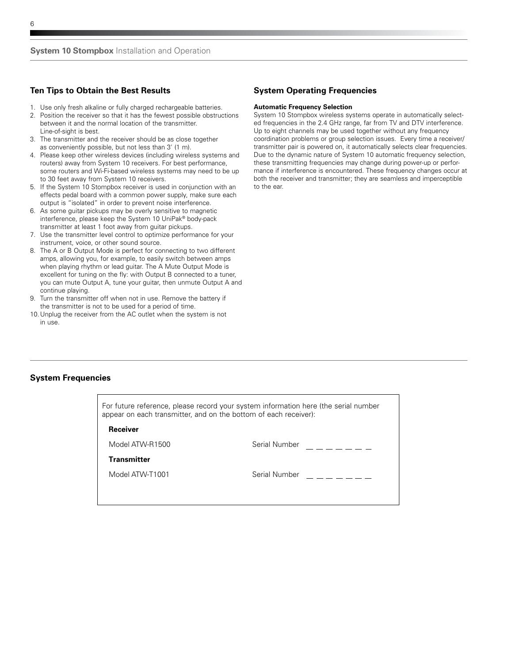# **Ten Tips to Obtain the Best Results**

- 1. Use only fresh alkaline or fully charged rechargeable batteries.
- 2. Position the receiver so that it has the fewest possible obstructions between it and the normal location of the transmitter. Line-of-sight is best.
- 3. The transmitter and the receiver should be as close together as conveniently possible, but not less than 3' (1 m).
- 4. Please keep other wireless devices (including wireless systems and routers) away from System 10 receivers. For best performance, some routers and Wi-Fi-based wireless systems may need to be up to 30 feet away from System 10 receivers.
- 5. If the System 10 Stompbox receiver is used in conjunction with an effects pedal board with a common power supply, make sure each output is "isolated" in order to prevent noise interference.
- 6. As some guitar pickups may be overly sensitive to magnetic interference, please keep the System 10 UniPak® body-pack transmitter at least 1 foot away from guitar pickups.
- 7. Use the transmitter level control to optimize performance for your instrument, voice, or other sound source.
- 8. The A or B Output Mode is perfect for connecting to two different amps, allowing you, for example, to easily switch between amps when playing rhythm or lead guitar. The A Mute Output Mode is excellent for tuning on the fly: with Output B connected to a tuner, you can mute Output A, tune your guitar, then unmute Output A and continue playing.
- 9. Turn the transmitter off when not in use. Remove the battery if the transmitter is not to be used for a period of time.
- 10.Unplug the receiver from the AC outlet when the system is not in use.

# **System Operating Frequencies**

### **Automatic Frequency Selection**

System 10 Stompbox wireless systems operate in automatically selected frequencies in the 2.4 GHz range, far from TV and DTV interference. Up to eight channels may be used together without any frequency coordination problems or group selection issues. Every time a receiver/ transmitter pair is powered on, it automatically selects clear frequencies. Due to the dynamic nature of System 10 automatic frequency selection, these transmitting frequencies may change during power-up or performance if interference is encountered. These frequency changes occur at both the receiver and transmitter; they are seamless and imperceptible to the ear.

# **System Frequencies**

For future reference, please record your system information here (the serial number appear on each transmitter, and on the bottom of each receiver):

### **Receiver**

Model ATW-R1500 Serial Number

**Transmitter**

Model ATW-T1001 Serial Number

 $-$ 

 $=$   $=$   $=$   $=$   $=$ 

6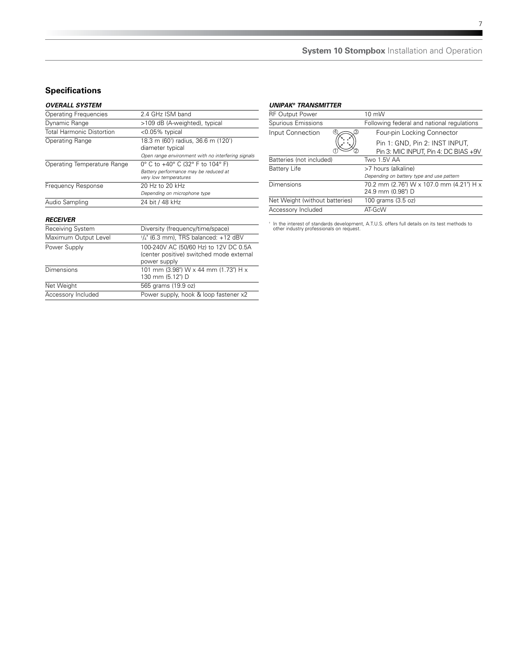# **Specifications**

# *Overall System*

| UVENALL ƏTƏTEMI              |                                                                                                              |
|------------------------------|--------------------------------------------------------------------------------------------------------------|
| <b>Operating Frequencies</b> | 2.4 GHz ISM band                                                                                             |
| Dynamic Range                | >109 dB (A-weighted), typical                                                                                |
| Total Harmonic Distortion    | <0.05% typical                                                                                               |
| Operating Range              | 18.3 m (60') radius, 36.6 m (120')<br>diameter typical<br>Open range environment with no interfering signals |
| Operating Temperature Range  | 0° C to +40° C (32° F to 104° F)<br>Battery performance may be reduced at<br>very low temperatures           |
| Frequency Response           | 20 Hz to 20 kHz<br>Depending on microphone type                                                              |
| Audio Sampling               | 24 bit / 48 kHz                                                                                              |

### *Receiver*

| ,,,,,,,,,,,          |                                                                                                   |
|----------------------|---------------------------------------------------------------------------------------------------|
| Receiving System     | Diversity (frequency/time/space)                                                                  |
| Maximum Output Level | $1/4$ " (6.3 mm), TRS balanced: +12 dBV                                                           |
| Power Supply         | 100-240V AC (50/60 Hz) to 12V DC 0.5A<br>(center positive) switched mode external<br>power supply |
| Dimensions           | 101 mm (3.98") W x 44 mm (1.73") H x<br>130 mm (5.12") D                                          |
| Net Weight           | 565 grams (19.9 oz)                                                                               |
| Accessory Included   | Power supply, hook & loop fastener x2                                                             |

### *UniPak® Transmitter*

| <b>RF Output Power</b>         | 10 mW                                      |
|--------------------------------|--------------------------------------------|
| Spurious Emissions             | Following federal and national regulations |
| Input Connection               | Four-pin Locking Connector                 |
|                                | Pin 1: GND, Pin 2: INST INPUT,             |
|                                | Pin 3: MIC INPUT, Pin 4: DC BIAS +9V       |
| Batteries (not included)       | Two 1.5V AA                                |
| <b>Battery Life</b>            | >7 hours (alkaline)                        |
|                                | Depending on battery type and use pattern  |
| Dimensions                     | 70.2 mm (2.76") W x 107.0 mm (4.21") H x   |
|                                | 24.9 mm (0.98") D                          |
| Net Weight (without batteries) | 100 grams (3.5 oz)                         |
| Accessory Included             | AT-GcW                                     |
|                                |                                            |

† In the interest of standards development, A.T.U.S. offers full details on its test methods to other industry professionals on request.